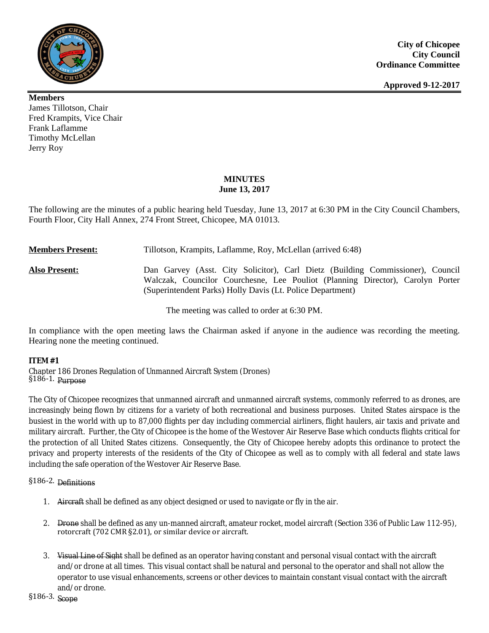

**Members** James Tillotson, Chair Fred Krampits, Vice Chair Frank Laflamme Timothy McLellan Jerry Roy

# **MINUTES June 13, 2017**

The following are the minutes of a public hearing held Tuesday, June 13, 2017 at 6:30 PM in the City Council Chambers, Fourth Floor, City Hall Annex, 274 Front Street, Chicopee, MA 01013.

**Members Present:** Tillotson, Krampits, Laflamme, Roy, McLellan (arrived 6:48)

**Also Present:** Dan Garvey (Asst. City Solicitor), Carl Dietz (Building Commissioner), Council Walczak, Councilor Courchesne, Lee Pouliot (Planning Director), Carolyn Porter (Superintendent Parks) Holly Davis (Lt. Police Department)

The meeting was called to order at 6:30 PM.

In compliance with the open meeting laws the Chairman asked if anyone in the audience was recording the meeting. Hearing none the meeting continued.

## **ITEM #1**

Chapter 186 Drones Regulation of Unmanned Aircraft System (Drones) §186-1. Purpose

The City of Chicopee recognizes that unmanned aircraft and unmanned aircraft systems, commonly referred to as drones, are increasingly being flown by citizens for a variety of both recreational and business purposes. United States airspace is the busiest in the world with up to 87,000 flights per day including commercial airliners, flight haulers, air taxis and private and military aircraft. Further, the City of Chicopee is the home of the Westover Air Reserve Base which conducts flights critical for the protection of all United States citizens. Consequently, the City of Chicopee hereby adopts this ordinance to protect the privacy and property interests of the residents of the City of Chicopee as well as to comply with all federal and state laws including the safe operation of the Westover Air Reserve Base.

# §186-2. Definitions

- 1. Aircraft shall be defined as any object designed or used to navigate or fly in the air.
- 2. Drone shall be defined as any un-manned aircraft, amateur rocket, model aircraft (Section 336 of Public Law 112-95), rotorcraft (702 CMR §2.01), or similar device or aircraft.
- 3. Visual Line of Sight shall be defined as an operator having constant and personal visual contact with the aircraft and/or drone at all times. This visual contact shall be natural and personal to the operator and shall not allow the operator to use visual enhancements, screens or other devices to maintain constant visual contact with the aircraft and/or drone.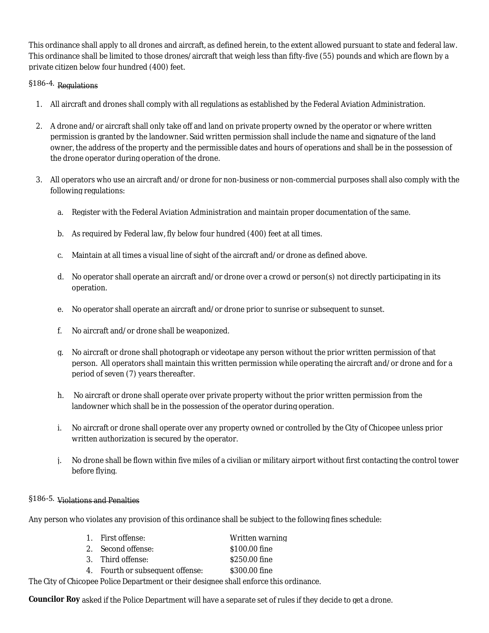This ordinance shall apply to all drones and aircraft, as defined herein, to the extent allowed pursuant to state and federal law. This ordinance shall be limited to those drones/aircraft that weigh less than fifty-five (55) pounds and which are flown by a private citizen below four hundred (400) feet.

# §186-4. Regulations

- 1. All aircraft and drones shall comply with all regulations as established by the Federal Aviation Administration.
- 2. A drone and/or aircraft shall only take off and land on private property owned by the operator or where written permission is granted by the landowner. Said written permission shall include the name and signature of the land owner, the address of the property and the permissible dates and hours of operations and shall be in the possession of the drone operator during operation of the drone.
- 3. All operators who use an aircraft and/or drone for non-business or non-commercial purposes shall also comply with the following regulations:
	- a. Register with the Federal Aviation Administration and maintain proper documentation of the same.
	- b. As required by Federal law, fly below four hundred (400) feet at all times.
	- c. Maintain at all times a visual line of sight of the aircraft and/or drone as defined above.
	- d. No operator shall operate an aircraft and/or drone over a crowd or person(s) not directly participating in its operation.
	- e. No operator shall operate an aircraft and/or drone prior to sunrise or subsequent to sunset.
	- f. No aircraft and/or drone shall be weaponized.
	- g. No aircraft or drone shall photograph or videotape any person without the prior written permission of that person. All operators shall maintain this written permission while operating the aircraft and/or drone and for a period of seven (7) years thereafter.
	- h. No aircraft or drone shall operate over private property without the prior written permission from the landowner which shall be in the possession of the operator during operation.
	- i. No aircraft or drone shall operate over any property owned or controlled by the City of Chicopee unless prior written authorization is secured by the operator.
	- j. No drone shall be flown within five miles of a civilian or military airport without first contacting the control tower before flying.

# §186-5. Violations and Penalties

Any person who violates any provision of this ordinance shall be subject to the following fines schedule:

| 1. First offense:                | Written warning |
|----------------------------------|-----------------|
| 2. Second offense:               | \$100.00 fine   |
| 3. Third offense:                | \$250.00 fine   |
| 4. Fourth or subsequent offense: | \$300.00 fine   |
|                                  |                 |

The City of Chicopee Police Department or their designee shall enforce this ordinance.

**Councilor Roy** asked if the Police Department will have a separate set of rules if they decide to get a drone.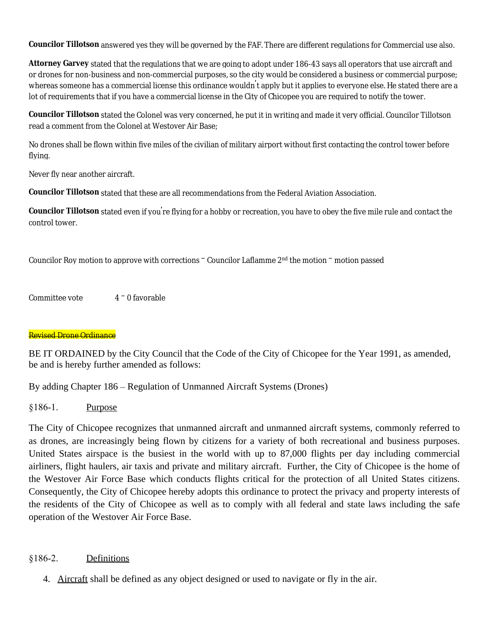**Councilor Tillotson** answered yes they will be governed by the FAF. There are different regulations for Commercial use also.

**Attorney Garvey** stated that the regulations that we are going to adopt under 186-43 says all operators that use aircraft and or drones for non-business and non-commercial purposes, so the city would be considered a business or commercial purpose; whereas someone has a commercial license this ordinance wouldn't apply but it applies to everyone else. He stated there are a lot of requirements that if you have a commercial license in the City of Chicopee you are required to notify the tower.

**Councilor Tillotson** stated the Colonel was very concerned, he put it in writing and made it very official. Councilor Tillotson read a comment from the Colonel at Westover Air Base;

No drones shall be flown within five miles of the civilian of military airport without first contacting the control tower before flying.

Never fly near another aircraft.

**Councilor Tillotson** stated that these are all recommendations from the Federal Aviation Association.

**Councilor Tillotson** stated even if you're flying for a hobby or recreation, you have to obey the five mile rule and contact the control tower.

Councilor Roy motion to approve with corrections – Councilor Laflamme 2nd the motion – motion passed

Committee vote  $4 - 0$  favorable

# Revised Drone Ordinance

BE IT ORDAINED by the City Council that the Code of the City of Chicopee for the Year 1991, as amended, be and is hereby further amended as follows:

By adding Chapter 186 – Regulation of Unmanned Aircraft Systems (Drones)

§186-1. Purpose

The City of Chicopee recognizes that unmanned aircraft and unmanned aircraft systems, commonly referred to as drones, are increasingly being flown by citizens for a variety of both recreational and business purposes. United States airspace is the busiest in the world with up to 87,000 flights per day including commercial airliners, flight haulers, air taxis and private and military aircraft. Further, the City of Chicopee is the home of the Westover Air Force Base which conducts flights critical for the protection of all United States citizens. Consequently, the City of Chicopee hereby adopts this ordinance to protect the privacy and property interests of the residents of the City of Chicopee as well as to comply with all federal and state laws including the safe operation of the Westover Air Force Base.

# §186-2. Definitions

4. Aircraft shall be defined as any object designed or used to navigate or fly in the air.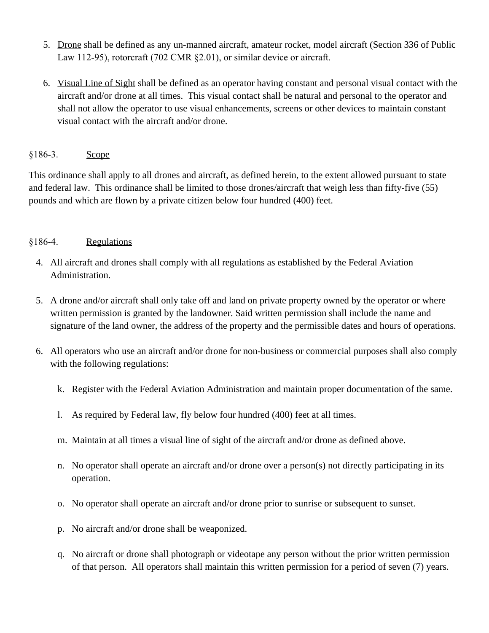- 5. Drone shall be defined as any un-manned aircraft, amateur rocket, model aircraft (Section 336 of Public Law 112-95), rotorcraft (702 CMR §2.01), or similar device or aircraft.
- 6. Visual Line of Sight shall be defined as an operator having constant and personal visual contact with the aircraft and/or drone at all times. This visual contact shall be natural and personal to the operator and shall not allow the operator to use visual enhancements, screens or other devices to maintain constant visual contact with the aircraft and/or drone.

# §186-3. Scope

This ordinance shall apply to all drones and aircraft, as defined herein, to the extent allowed pursuant to state and federal law. This ordinance shall be limited to those drones/aircraft that weigh less than fifty-five (55) pounds and which are flown by a private citizen below four hundred (400) feet.

# §186-4. Regulations

- 4. All aircraft and drones shall comply with all regulations as established by the Federal Aviation Administration.
- 5. A drone and/or aircraft shall only take off and land on private property owned by the operator or where written permission is granted by the landowner. Said written permission shall include the name and signature of the land owner, the address of the property and the permissible dates and hours of operations.
- 6. All operators who use an aircraft and/or drone for non-business or commercial purposes shall also comply with the following regulations:
	- k. Register with the Federal Aviation Administration and maintain proper documentation of the same.
	- l. As required by Federal law, fly below four hundred (400) feet at all times.
	- m. Maintain at all times a visual line of sight of the aircraft and/or drone as defined above.
	- n. No operator shall operate an aircraft and/or drone over a person(s) not directly participating in its operation.
	- o. No operator shall operate an aircraft and/or drone prior to sunrise or subsequent to sunset.
	- p. No aircraft and/or drone shall be weaponized.
	- q. No aircraft or drone shall photograph or videotape any person without the prior written permission of that person. All operators shall maintain this written permission for a period of seven (7) years.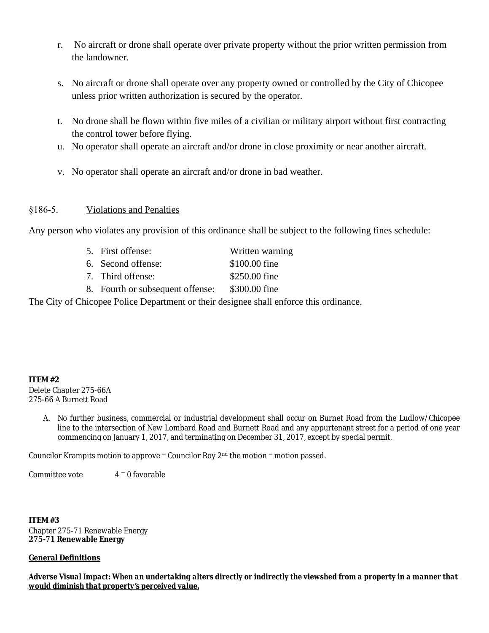- r. No aircraft or drone shall operate over private property without the prior written permission from the landowner.
- s. No aircraft or drone shall operate over any property owned or controlled by the City of Chicopee unless prior written authorization is secured by the operator.
- t. No drone shall be flown within five miles of a civilian or military airport without first contracting the control tower before flying.
- u. No operator shall operate an aircraft and/or drone in close proximity or near another aircraft.
- v. No operator shall operate an aircraft and/or drone in bad weather.

# §186-5. Violations and Penalties

Any person who violates any provision of this ordinance shall be subject to the following fines schedule:

| 5. First offense:                | Written warning |  |  |
|----------------------------------|-----------------|--|--|
| 6. Second offense:               | \$100.00 fine   |  |  |
| 7. Third offense:                | \$250.00 fine   |  |  |
| 8. Fourth or subsequent offense: | \$300.00 fine   |  |  |

The City of Chicopee Police Department or their designee shall enforce this ordinance.

## **ITEM #2**

Delete Chapter 275-66A 275-66 A Burnett Road

> A. No further business, commercial or industrial development shall occur on Burnet Road from the Ludlow/Chicopee line to the intersection of New Lombard Road and Burnett Road and any appurtenant street for a period of one year commencing on January 1, 2017, and terminating on December 31, 2017, except by special permit.

Councilor Krampits motion to approve – Councilor Roy 2nd the motion – motion passed.

Committee vote  $4 - 0$  favorable

**ITEM #3** Chapter 275-71 Renewable Energy **275-71 Renewable Energy**

## **General Definitions**

*Adverse Visual Impact: When an undertaking alters directly or indirectly the viewshed from a property in a manner that would diminish that property's perceived value.*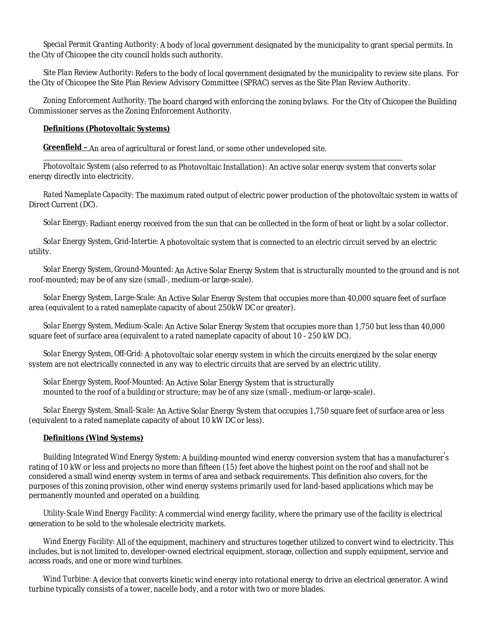*Special Permit Granting Authority*: A body of local government designated by the municipality to grant special permits. In the City of Chicopee the city council holds such authority.

*Site Plan Review Authority:* Refers to the body of local government designated by the municipality to review site plans. For the City of Chicopee the Site Plan Review Advisory Committee (SPRAC) serves as the Site Plan Review Authority.

*Zoning Enforcement Authority*: The board charged with enforcing the zoning bylaws. For the City of Chicopee the Building Commissioner serves as the Zoning Enforcement Authority.

### **Definitions (Photovoltaic Systems)**

**Greenfield –** An area of agricultural or forest land, or some other undeveloped site.

*Photovoltaic System* (also referred to as Photovoltaic Installation): An active solar energy system that converts solar energy directly into electricity.

*Rated Nameplate Capacity*: The maximum rated output of electric power production of the photovoltaic system in watts of Direct Current (DC).

*Solar Energy*: Radiant energy received from the sun that can be collected in the form of heat or light by a solar collector.

*Solar Energy System, Grid-Intertie:* A photovoltaic system that is connected to an electric circuit served by an electric utility.

*Solar Energy System, Ground-Mounted:* An Active Solar Energy System that is structurally mounted to the ground and is not roof-mounted; may be of any size (small-, medium-or large-scale).

*Solar Energy System, Large-Scale:* An Active Solar Energy System that occupies more than 40,000 square feet of surface area (equivalent to a rated nameplate capacity of about 250kW DC or greater).

*Solar Energy System, Medium-Scale:* An Active Solar Energy System that occupies more than 1,750 but less than 40,000 square feet of surface area (equivalent to a rated nameplate capacity of about 10 - 250 kW DC).

*Solar Energy System, Off-Grid:* A photovoltaic solar energy system in which the circuits energized by the solar energy system are not electrically connected in any way to electric circuits that are served by an electric utility.

*Solar Energy System, Roof-Mounted:* An Active Solar Energy System that is structurally mounted to the roof of a building or structure; may be of any size (small-, medium-or large-scale).

*Solar Energy System, Small-Scale:* An Active Solar Energy System that occupies 1,750 square feet of surface area or less (equivalent to a rated nameplate capacity of about 10 kW DC or less).

## **Definitions (Wind Systems)**

*Building Integrated Wind Energy System:* A building-mounted wind energy conversion system that has a manufacturer's rating of 10 kW or less and projects no more than fifteen (15) feet above the highest point on the roof and shall not be considered a small wind energy system in terms of area and setback requirements. This definition also covers, for the purposes of this zoning provision, other wind energy systems primarily used for land-based applications which may be permanently mounted and operated on a building.

*Utility-Scale Wind Energy Facility:* A commercial wind energy facility, where the primary use of the facility is electrical generation to be sold to the wholesale electricity markets.

*Wind Energy Facility:* All of the equipment, machinery and structures together utilized to convert wind to electricity. This includes, but is not limited to, developer-owned electrical equipment, storage, collection and supply equipment, service and access roads, and one or more wind turbines.

*Wind Turbine:* A device that converts kinetic wind energy into rotational energy to drive an electrical generator. A wind turbine typically consists of a tower, nacelle body, and a rotor with two or more blades.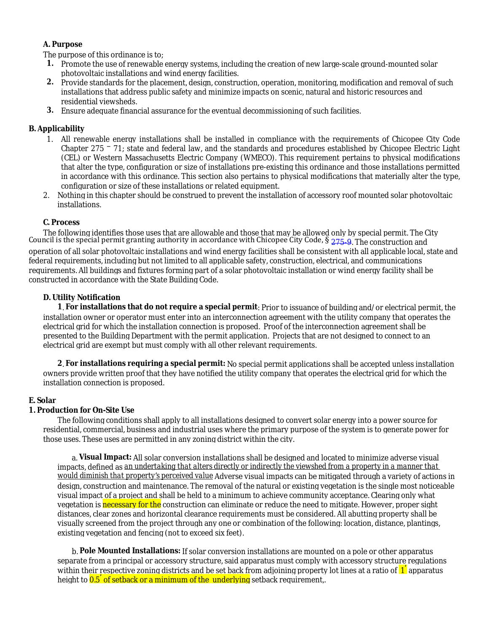# **A. Purpose**

The purpose of this ordinance is to;

- **1.** Promote the use of renewable energy systems, including the creation of new large-scale ground-mounted solar photovoltaic installations and wind energy facilities.
- **2.** Provide standards for the placement, design, construction, operation, monitoring, modification and removal of such installations that address public safety and minimize impacts on scenic, natural and historic resources and residential viewsheds.
- **3.** Ensure adequate financial assurance for the eventual decommissioning of such facilities.

## **B. Applicability**

- 1. All renewable energy installations shall be installed in compliance with the requirements of Chicopee City Code Chapter 275 – 71; state and federal law, and the standards and procedures established by Chicopee Electric Light (CEL) or Western Massachusetts Electric Company (WMECO). This requirement pertains to physical modifications that alter the type, configuration or size of installations pre-existing this ordinance and those installations permitted in accordance with this ordinance. This section also pertains to physical modifications that materially alter the type, configuration or size of these installations or related equipment.
- 2. Nothing in this chapter should be construed to prevent the installation of accessory roof mounted solar photovoltaic installations.

## **C. Process**

The following identifies those uses that are allowable and those that may be allowed only by special permit. The City Council is the special permit granting authority in accordance with Chicopee City Code, § [275-9](http://ecode360.com/6481706#6481706). The construction and operation of all solar photovoltaic installations and wind energy facilities shall be consistent with all applicable local, state and federal requirements, including but not limited to all applicable safety, construction, electrical, and communications requirements. All buildings and fixtures forming part of a solar photovoltaic installation or wind energy facility shall be constructed in accordance with the State Building Code.

## **D. Utility Notification**

**1**. **For installations that do not require a special permit**: Prior to issuance of building and/or electrical permit, the installation owner or operator must enter into an interconnection agreement with the utility company that operates the electrical grid for which the installation connection is proposed. Proof of the interconnection agreement shall be presented to the Building Department with the permit application. Projects that are not designed to connect to an electrical grid are exempt but must comply with all other relevant requirements.

**2**. **For installations requiring a special permit:** No special permit applications shall be accepted unless installation owners provide written proof that they have notified the utility company that operates the electrical grid for which the installation connection is proposed.

#### **E. Solar**

## **1. Production for On-Site Use**

The following conditions shall apply to all installations designed to convert solar energy into a power source for residential, commercial, business and industrial uses where the primary purpose of the system is to generate power for those uses. These uses are permitted in any zoning district within the city.

a. **Visual Impact:** All solar conversion installations shall be designed and located to minimize adverse visual impacts, defined as *an undertaking that alters directly or indirectly the viewshed from a property in a manner that would diminish that property's perceived value* Adverse visual impacts can be mitigated through a variety of actions in design, construction and maintenance. The removal of the natural or existing vegetation is the single most noticeable visual impact of a project and shall be held to a minimum to achieve community acceptance. Clearing only what vegetation is necessary for the construction can eliminate or reduce the need to mitigate. However, proper sight distances, clear zones and horizontal clearance requirements must be considered. All abutting property shall be visually screened from the project through any one or combination of the following: location, distance, plantings, existing vegetation and fencing (not to exceed six feet).

b. **Pole Mounted Installations:** If solar conversion installations are mounted on a pole or other apparatus separate from a principal or accessory structure, said apparatus must comply with accessory structure regulations within their respective zoning districts and be set back from adjoining property lot lines at a ratio of  $1^{'}$  apparatus height to <mark>0.5<sup>'</sup> of setback or a minimum of the underlying</mark> setback requirement,.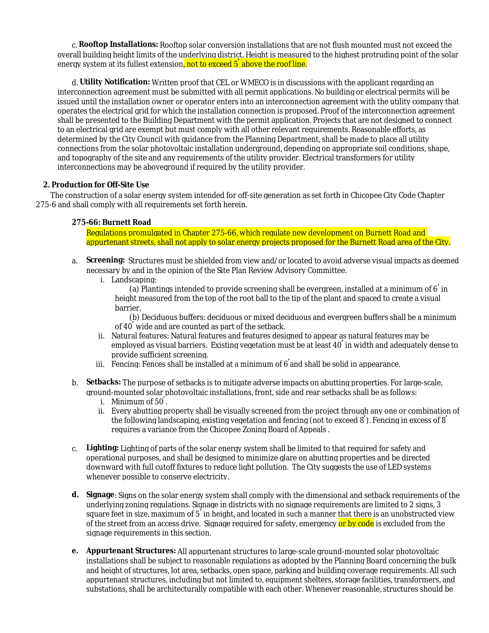c. **Rooftop Installations:** Rooftop solar conversion installations that are not flush mounted must not exceed the overall building height limits of the underlying district. Height is measured to the highest protruding point of the solar energy system at its fullest extension<mark>, not to exceed 5<sup>'</sup> above the roof line.</mark>

d. **Utility Notification:** Written proof that CEL or WMECO is in discussions with the applicant regarding an interconnection agreement must be submitted with all permit applications. No building or electrical permits will be issued until the installation owner or operator enters into an interconnection agreement with the utility company that operates the electrical grid for which the installation connection is proposed. Proof of the interconnection agreement shall be presented to the Building Department with the permit application. Projects that are not designed to connect to an electrical grid are exempt but must comply with all other relevant requirements. Reasonable efforts, as determined by the City Council with guidance from the Planning Department, shall be made to place all utility connections from the solar photovoltaic installation underground, depending on appropriate soil conditions, shape, and topography of the site and any requirements of the utility provider. Electrical transformers for utility interconnections may be aboveground if required by the utility provider.

## **2. Production for Off-Site Use**

The construction of a solar energy system intended for off-site generation as set forth in Chicopee City Code Chapter 275-6 and shall comply with all requirements set forth herein.

### **275-66: Burnett Road**

Regulations promulgated in Chapter 275-66, which regulate new development on Burnett Road and appurtenant streets, shall not apply to solar energy projects proposed for the Burnett Road area of the City.

- a. **Screening:** Structures must be shielded from view and/or located to avoid adverse visual impacts as deemed necessary by and in the opinion of the Site Plan Review Advisory Committee.
	- i. Landscaping:

(a) Plantings intended to provide screening shall be evergreen, installed at a minimum of 6' in height measured from the top of the root ball to the tip of the plant and spaced to create a visual barrier.

(b) Deciduous buffers: deciduous or mixed deciduous and evergreen buffers shall be a minimum of 40' wide and are counted as part of the setback.

- ii. Natural features: Natural features and features designed to appear as natural features may be employed as visual barriers. Existing vegetation must be at least 40' in width and adequately dense to provide sufficient screening.
- iii. Fencing: Fences shall be installed at a minimum of 6'and shall be solid in appearance.
- b. **Setbacks:** The purpose of setbacks is to mitigate adverse impacts on abutting properties. For large-scale, ground-mounted solar photovoltaic installations, front, side and rear setbacks shall be as follows:
	- i. Minimum of 50' .
	- ii. Every abutting property shall be visually screened from the project through any one or combination of the following landscaping, existing vegetation and fencing (not to exceed  $8^{'}$ ). Fencing in excess of  $8^{'}$ requires a variance from the Chicopee Zoning Board of Appeals .
- c. **Lighting:** Lighting of parts of the solar energy system shall be limited to that required for safety and operational purposes, and shall be designed to minimize glare on abutting properties and be directed downward with full cutoff fixtures to reduce light pollution. The City suggests the use of LED systems whenever possible to conserve electricity.
- **d. Signage**: Signs on the solar energy system shall comply with the dimensional and setback requirements of the underlying zoning regulations. Signage in districts with no signage requirements are limited to 2 signs, 3 square feet in size, maximum of 5<sup>'</sup> in height, and located in such a manner that there is an unobstructed view of the street from an access drive. Signage required for safety, emergency or by code is excluded from the signage requirements in this section.
- **e. Appurtenant Structures:** All appurtenant structures to large-scale ground-mounted solar photovoltaic installations shall be subject to reasonable regulations as adopted by the Planning Board concerning the bulk and height of structures, lot area, setbacks, open space, parking and building coverage requirements. All such appurtenant structures, including but not limited to, equipment shelters, storage facilities, transformers, and substations, shall be architecturally compatible with each other. Whenever reasonable, structures should be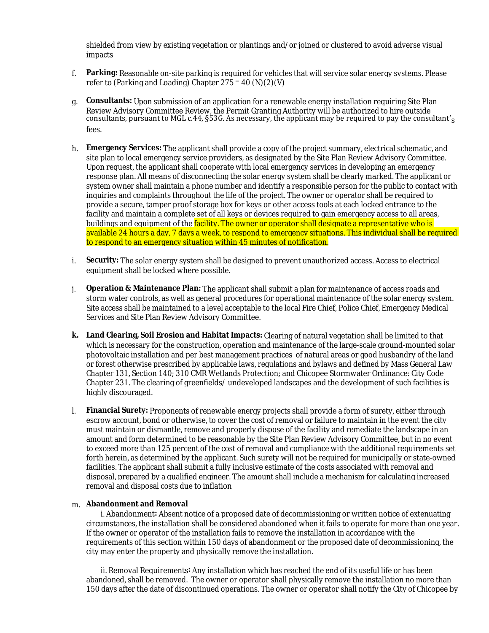shielded from view by existing vegetation or plantings and/or joined or clustered to avoid adverse visual impacts

- f. **Parking:** Reasonable on-site parking is required for vehicles that will service solar energy systems. Please refer to (Parking and Loading) Chapter  $275 - 40$  (N)(2)(V)
- g. **Consultants:** Upon submission of an application for a renewable energy installation requiring Site Plan Review Advisory Committee Review, the Permit Granting Authority will be authorized to hire outside consultants, pursuant to MGL c.44,  $\S53G$ . As necessary, the applicant may be required to pay the consultant's fees.
- h. **Emergency Services:** The applicant shall provide a copy of the project summary, electrical schematic, and site plan to local emergency service providers, as designated by the Site Plan Review Advisory Committee. Upon request, the applicant shall cooperate with local emergency services in developing an emergency response plan. All means of disconnecting the solar energy system shall be clearly marked. The applicant or system owner shall maintain a phone number and identify a responsible person for the public to contact with inquiries and complaints throughout the life of the project. The owner or operator shall be required to provide a secure, tamper proof storage box for keys or other access tools at each locked entrance to the facility and maintain a complete set of all keys or devices required to gain emergency access to all areas, buildings and equipment of the facility. The owner or operator shall designate a representative who is available 24 hours a day, 7 days a week, to respond to emergency situations. This individual shall be required to respond to an emergency situation within 45 minutes of notification.
- i. **Security:** The solar energy system shall be designed to prevent unauthorized access. Access to electrical equipment shall be locked where possible.
- j. **Operation & Maintenance Plan:** The applicant shall submit a plan for maintenance of access roads and storm water controls, as well as general procedures for operational maintenance of the solar energy system. Site access shall be maintained to a level acceptable to the local Fire Chief, Police Chief, Emergency Medical Services and Site Plan Review Advisory Committee.
- **k. Land Clearing, Soil Erosion and Habitat Impacts:** Clearing of natural vegetation shall be limited to that which is necessary for the construction, operation and maintenance of the large-scale ground-mounted solar photovoltaic installation and per best management practices of natural areas or good husbandry of the land or forest otherwise prescribed by applicable laws, regulations and bylaws and defined by Mass General Law Chapter 131, Section 140; 310 CMR Wetlands Protection; and Chicopee Stormwater Ordinance: City Code Chapter 231. The clearing of greenfields/ undeveloped landscapes and the development of such facilities is highly discouraged.
- l. **Financial Surety:** Proponents of renewable energy projects shall provide a form of surety, either through escrow account, bond or otherwise, to cover the cost of removal or failure to maintain in the event the city must maintain or dismantle, remove and properly dispose of the facility and remediate the landscape in an amount and form determined to be reasonable by the Site Plan Review Advisory Committee, but in no event to exceed more than 125 percent of the cost of removal and compliance with the additional requirements set forth herein, as determined by the applicant. Such surety will not be required for municipally or state-owned facilities. The applicant shall submit a fully inclusive estimate of the costs associated with removal and disposal, prepared by a qualified engineer. The amount shall include a mechanism for calculating increased removal and disposal costs due to inflation

#### m. **Abandonment and Removal**

i. Abandonment**:** Absent notice of a proposed date of decommissioning or written notice of extenuating circumstances, the installation shall be considered abandoned when it fails to operate for more than one year. If the owner or operator of the installation fails to remove the installation in accordance with the requirements of this section within 150 days of abandonment or the proposed date of decommissioning, the city may enter the property and physically remove the installation.

ii. Removal Requirements**:** Any installation which has reached the end of its useful life or has been abandoned, shall be removed. The owner or operator shall physically remove the installation no more than 150 days after the date of discontinued operations. The owner or operator shall notify the City of Chicopee by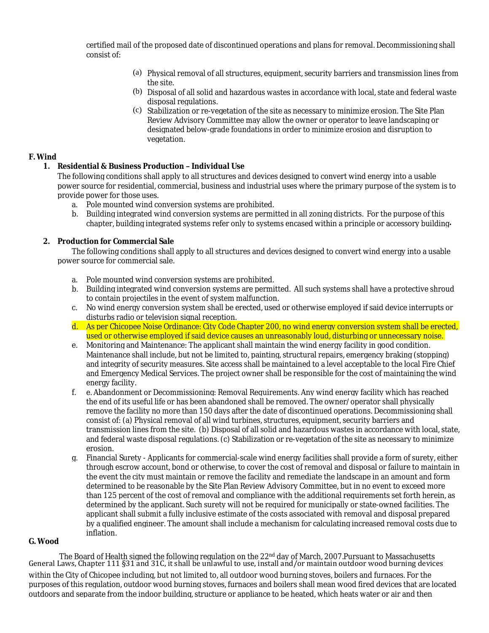certified mail of the proposed date of discontinued operations and plans for removal. Decommissioning shall consist of:

- (a) Physical removal of all structures, equipment, security barriers and transmission lines from the site.
- (b) Disposal of all solid and hazardous wastes in accordance with local, state and federal waste disposal regulations.
- (c) Stabilization or re-vegetation of the site as necessary to minimize erosion. The Site Plan Review Advisory Committee may allow the owner or operator to leave landscaping or designated below-grade foundations in order to minimize erosion and disruption to vegetation.

### **F. Wind**

## **1. Residential & Business Production – Individual Use**

The following conditions shall apply to all structures and devices designed to convert wind energy into a usable power source for residential, commercial, business and industrial uses where the primary purpose of the system is to provide power for those uses.

- a. Pole mounted wind conversion systems are prohibited.
- b. Building integrated wind conversion systems are permitted in all zoning districts. For the purpose of this chapter, building integrated systems refer only to systems encased within a principle or accessory building**.**

### **2. Production for Commercial Sale**

The following conditions shall apply to all structures and devices designed to convert wind energy into a usable power source for commercial sale.

- a. Pole mounted wind conversion systems are prohibited.
- b. Building integrated wind conversion systems are permitted. All such systems shall have a protective shroud to contain projectiles in the event of system malfunction.
- c. No wind energy conversion system shall be erected, used or otherwise employed if said device interrupts or disturbs radio or television signal reception.
- d. As per Chicopee Noise Ordinance: City Code Chapter 200, no wind energy conversion system shall be erected, used or otherwise employed if said device causes an unreasonably loud, disturbing or unnecessary noise.
- e. Monitoring and Maintenance: The applicant shall maintain the wind energy facility in good condition. Maintenance shall include, but not be limited to, painting, structural repairs, emergency braking (stopping) and integrity of security measures. Site access shall be maintained to a level acceptable to the local Fire Chief and Emergency Medical Services. The project owner shall be responsible for the cost of maintaining the wind energy facility.
- f. e. Abandonment or Decommissioning: Removal Requirements. Any wind energy facility which has reached the end of its useful life or has been abandoned shall be removed. The owner/operator shall physically remove the facility no more than 150 days after the date of discontinued operations. Decommissioning shall consist of: (a) Physical removal of all wind turbines, structures, equipment, security barriers and transmission lines from the site. (b) Disposal of all solid and hazardous wastes in accordance with local, state, and federal waste disposal regulations. (c) Stabilization or re-vegetation of the site as necessary to minimize erosion.
- g. Financial Surety Applicants for commercial-scale wind energy facilities shall provide a form of surety, either through escrow account, bond or otherwise, to cover the cost of removal and disposal or failure to maintain in the event the city must maintain or remove the facility and remediate the landscape in an amount and form determined to be reasonable by the Site Plan Review Advisory Committee, but in no event to exceed more than 125 percent of the cost of removal and compliance with the additional requirements set forth herein, as determined by the applicant. Such surety will not be required for municipally or state-owned facilities. The applicant shall submit a fully inclusive estimate of the costs associated with removal and disposal prepared by a qualified engineer. The amount shall include a mechanism for calculating increased removal costs due to inflation.

## **G. Wood**

The Board of Health signed the following regulation on the  $22<sup>nd</sup>$  day of March, 2007. Pursuant to Massachusetts General Laws, Chapter 111 §31 and 31C, it shall be unlawful to use, install and/or maintain outdoor wood burning devices within the City of Chicopee including, but not limited to, all outdoor wood burning stoves, boilers and furnaces. For the purposes of this regulation, outdoor wood burning stoves, furnaces and boilers shall mean wood fired devices that are located outdoors and separate from the indoor building, structure or appliance to be heated, which heats water or air and then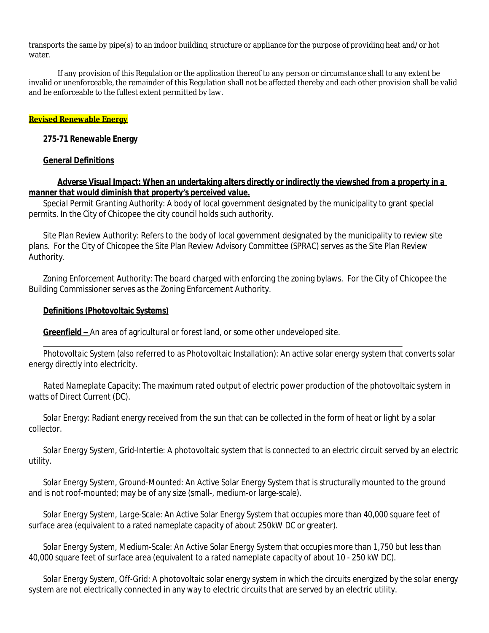transports the same by pipe(s) to an indoor building, structure or appliance for the purpose of providing heat and/or hot water.

If any provision of this Regulation or the application thereof to any person or circumstance shall to any extent be invalid or unenforceable, the remainder of this Regulation shall not be affected thereby and each other provision shall be valid and be enforceable to the fullest extent permitted by law.

# **Revised Renewable Energy**

# **275-71 Renewable Energy**

# **General Definitions**

# *Adverse Visual Impact: When an undertaking alters directly or indirectly the viewshed from a property in a manner that would diminish that property's perceived value.*

*Special Permit Granting Authority*: A body of local government designated by the municipality to grant special permits. In the City of Chicopee the city council holds such authority.

*Site Plan Review Authority:* Refers to the body of local government designated by the municipality to review site plans. For the City of Chicopee the Site Plan Review Advisory Committee (SPRAC) serves as the Site Plan Review Authority.

*Zoning Enforcement Authority*: The board charged with enforcing the zoning bylaws. For the City of Chicopee the Building Commissioner serves as the Zoning Enforcement Authority.

## **Definitions (Photovoltaic Systems)**

**Greenfield –** An area of agricultural or forest land, or some other undeveloped site.

 *Photovoltaic System* (also referred to as Photovoltaic Installation): An active solar energy system that converts solar energy directly into electricity.

*Rated Nameplate Capacity*: The maximum rated output of electric power production of the photovoltaic system in watts of Direct Current (DC).

*Solar Energy*: Radiant energy received from the sun that can be collected in the form of heat or light by a solar collector.

*Solar Energy System, Grid-Intertie:* A photovoltaic system that is connected to an electric circuit served by an electric utility.

*Solar Energy System, Ground-Mounted:* An Active Solar Energy System that is structurally mounted to the ground and is not roof-mounted; may be of any size (small-, medium-or large-scale).

*Solar Energy System, Large-Scale:* An Active Solar Energy System that occupies more than 40,000 square feet of surface area (equivalent to a rated nameplate capacity of about 250kW DC or greater).

*Solar Energy System, Medium-Scale:* An Active Solar Energy System that occupies more than 1,750 but less than 40,000 square feet of surface area (equivalent to a rated nameplate capacity of about 10 - 250 kW DC).

*Solar Energy System, Off-Grid:* A photovoltaic solar energy system in which the circuits energized by the solar energy system are not electrically connected in any way to electric circuits that are served by an electric utility.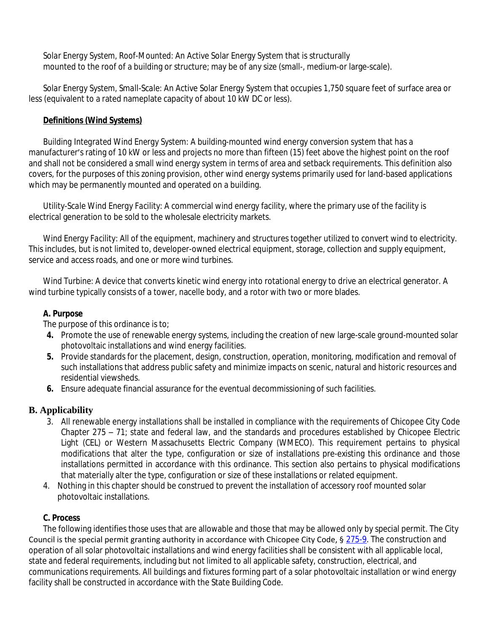*Solar Energy System, Roof-Mounted:* An Active Solar Energy System that is structurally mounted to the roof of a building or structure; may be of any size (small-, medium-or large-scale).

*Solar Energy System, Small-Scale:* An Active Solar Energy System that occupies 1,750 square feet of surface area or less (equivalent to a rated nameplate capacity of about 10 kW DC or less).

# **Definitions (Wind Systems)**

*Building Integrated Wind Energy System:* A building-mounted wind energy conversion system that has a manufacturer's rating of 10 kW or less and projects no more than fifteen (15) feet above the highest point on the roof and shall not be considered a small wind energy system in terms of area and setback requirements. This definition also covers, for the purposes of this zoning provision, other wind energy systems primarily used for land-based applications which may be permanently mounted and operated on a building.

*Utility-Scale Wind Energy Facility:* A commercial wind energy facility, where the primary use of the facility is electrical generation to be sold to the wholesale electricity markets.

*Wind Energy Facility:* All of the equipment, machinery and structures together utilized to convert wind to electricity. This includes, but is not limited to, developer-owned electrical equipment, storage, collection and supply equipment, service and access roads, and one or more wind turbines.

*Wind Turbine:* A device that converts kinetic wind energy into rotational energy to drive an electrical generator. A wind turbine typically consists of a tower, nacelle body, and a rotor with two or more blades.

# **A. Purpose**

The purpose of this ordinance is to;

- **4.** Promote the use of renewable energy systems, including the creation of new large-scale ground-mounted solar photovoltaic installations and wind energy facilities.
- **5.** Provide standards for the placement, design, construction, operation, monitoring, modification and removal of such installations that address public safety and minimize impacts on scenic, natural and historic resources and residential viewsheds.
- **6.** Ensure adequate financial assurance for the eventual decommissioning of such facilities.

# **B. Applicability**

- 3. All renewable energy installations shall be installed in compliance with the requirements of Chicopee City Code Chapter 275 – 71; state and federal law, and the standards and procedures established by Chicopee Electric Light (CEL) or Western Massachusetts Electric Company (WMECO). This requirement pertains to physical modifications that alter the type, configuration or size of installations pre-existing this ordinance and those installations permitted in accordance with this ordinance. This section also pertains to physical modifications that materially alter the type, configuration or size of these installations or related equipment.
- 4. Nothing in this chapter should be construed to prevent the installation of accessory roof mounted solar photovoltaic installations.

# **C. Process**

The following identifies those uses that are allowable and those that may be allowed only by special permit. The City Council is the special permit granting authority in accordance with Chicopee City Code, § [275-9](http://ecode360.com/6481706#6481706). The construction and operation of all solar photovoltaic installations and wind energy facilities shall be consistent with all applicable local, state and federal requirements, including but not limited to all applicable safety, construction, electrical, and communications requirements. All buildings and fixtures forming part of a solar photovoltaic installation or wind energy facility shall be constructed in accordance with the State Building Code.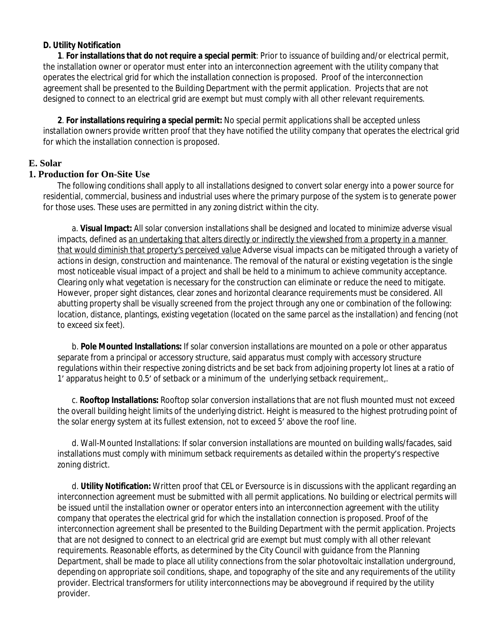# **D. Utility Notification**

**1**. **For installations that do not require a special permit**: Prior to issuance of building and/or electrical permit, the installation owner or operator must enter into an interconnection agreement with the utility company that operates the electrical grid for which the installation connection is proposed. Proof of the interconnection agreement shall be presented to the Building Department with the permit application. Projects that are not designed to connect to an electrical grid are exempt but must comply with all other relevant requirements.

**2**. **For installations requiring a special permit:** No special permit applications shall be accepted unless installation owners provide written proof that they have notified the utility company that operates the electrical grid for which the installation connection is proposed.

# **E. Solar**

# **1. Production for On-Site Use**

The following conditions shall apply to all installations designed to convert solar energy into a power source for residential, commercial, business and industrial uses where the primary purpose of the system is to generate power for those uses. These uses are permitted in any zoning district within the city.

a. **Visual Impact:** All solar conversion installations shall be designed and located to minimize adverse visual impacts, defined as *an undertaking that alters directly or indirectly the viewshed from a property in a manner that would diminish that property's perceived value* Adverse visual impacts can be mitigated through a variety of actions in design, construction and maintenance. The removal of the natural or existing vegetation is the single most noticeable visual impact of a project and shall be held to a minimum to achieve community acceptance. Clearing only what vegetation is necessary for the construction can eliminate or reduce the need to mitigate. However, proper sight distances, clear zones and horizontal clearance requirements must be considered. All abutting property shall be visually screened from the project through any one or combination of the following: location, distance, plantings, existing vegetation (located on the same parcel as the installation) and fencing (not to exceed six feet).

b. **Pole Mounted Installations:** If solar conversion installations are mounted on a pole or other apparatus separate from a principal or accessory structure, said apparatus must comply with accessory structure regulations within their respective zoning districts and be set back from adjoining property lot lines at a ratio of 1' apparatus height to 0.5' of setback or a minimum of the underlying setback requirement,.

c. **Rooftop Installations:** Rooftop solar conversion installations that are not flush mounted must not exceed the overall building height limits of the underlying district. Height is measured to the highest protruding point of the solar energy system at its fullest extension, not to exceed 5' above the roof line.

d. Wall-Mounted Installations: If solar conversion installations are mounted on building walls/facades, said installations must comply with minimum setback requirements as detailed within the property's respective zoning district.

d. **Utility Notification:** Written proof that CEL or Eversource is in discussions with the applicant regarding an interconnection agreement must be submitted with all permit applications. No building or electrical permits will be issued until the installation owner or operator enters into an interconnection agreement with the utility company that operates the electrical grid for which the installation connection is proposed. Proof of the interconnection agreement shall be presented to the Building Department with the permit application. Projects that are not designed to connect to an electrical grid are exempt but must comply with all other relevant requirements. Reasonable efforts, as determined by the City Council with guidance from the Planning Department, shall be made to place all utility connections from the solar photovoltaic installation underground, depending on appropriate soil conditions, shape, and topography of the site and any requirements of the utility provider. Electrical transformers for utility interconnections may be aboveground if required by the utility provider.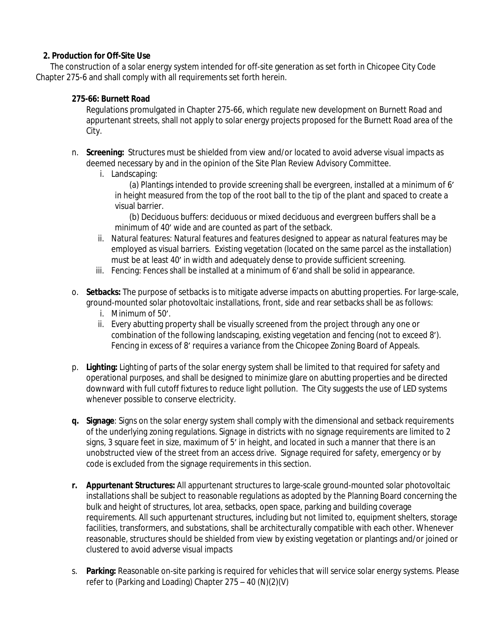# **2. Production for Off-Site Use**

The construction of a solar energy system intended for off-site generation as set forth in Chicopee City Code Chapter 275-6 and shall comply with all requirements set forth herein.

# **275-66: Burnett Road**

Regulations promulgated in Chapter 275-66, which regulate new development on Burnett Road and appurtenant streets, shall not apply to solar energy projects proposed for the Burnett Road area of the City.

- n. **Screening:** Structures must be shielded from view and/or located to avoid adverse visual impacts as deemed necessary by and in the opinion of the Site Plan Review Advisory Committee.
	- i. Landscaping:

(a) Plantings intended to provide screening shall be evergreen, installed at a minimum of 6' in height measured from the top of the root ball to the tip of the plant and spaced to create a visual barrier.

(b) Deciduous buffers: deciduous or mixed deciduous and evergreen buffers shall be a minimum of 40' wide and are counted as part of the setback.

- ii. Natural features: Natural features and features designed to appear as natural features may be employed as visual barriers. Existing vegetation (located on the same parcel as the installation) must be at least 40' in width and adequately dense to provide sufficient screening.
- iii. Fencing: Fences shall be installed at a minimum of 6'and shall be solid in appearance.
- o. **Setbacks:** The purpose of setbacks is to mitigate adverse impacts on abutting properties. For large-scale, ground-mounted solar photovoltaic installations, front, side and rear setbacks shall be as follows:
	- i. Minimum of 50'.
	- ii. Every abutting property shall be visually screened from the project through any one or combination of the following landscaping, existing vegetation and fencing (not to exceed 8'). Fencing in excess of 8' requires a variance from the Chicopee Zoning Board of Appeals.
- p. **Lighting:** Lighting of parts of the solar energy system shall be limited to that required for safety and operational purposes, and shall be designed to minimize glare on abutting properties and be directed downward with full cutoff fixtures to reduce light pollution. The City suggests the use of LED systems whenever possible to conserve electricity.
- **q. Signage**: Signs on the solar energy system shall comply with the dimensional and setback requirements of the underlying zoning regulations. Signage in districts with no signage requirements are limited to 2 signs, 3 square feet in size, maximum of 5' in height, and located in such a manner that there is an unobstructed view of the street from an access drive. Signage required for safety, emergency or by code is excluded from the signage requirements in this section.
- **r. Appurtenant Structures:** All appurtenant structures to large-scale ground-mounted solar photovoltaic installations shall be subject to reasonable regulations as adopted by the Planning Board concerning the bulk and height of structures, lot area, setbacks, open space, parking and building coverage requirements. All such appurtenant structures, including but not limited to, equipment shelters, storage facilities, transformers, and substations, shall be architecturally compatible with each other. Whenever reasonable, structures should be shielded from view by existing vegetation or plantings and/or joined or clustered to avoid adverse visual impacts
- s. **Parking:** Reasonable on-site parking is required for vehicles that will service solar energy systems. Please refer to (Parking and Loading) Chapter 275 – 40 (N)(2)(V)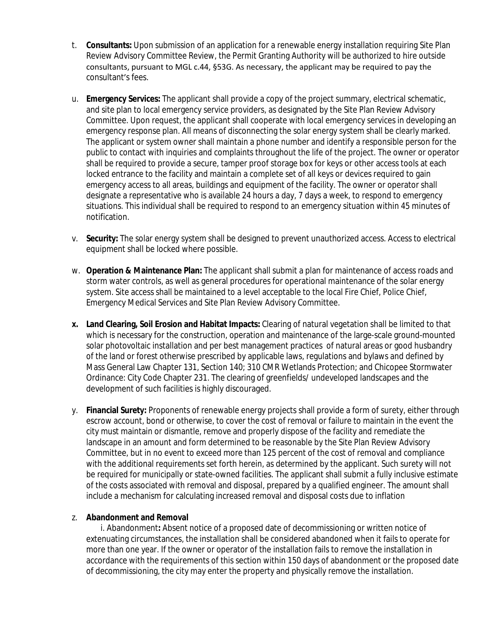- t. **Consultants:** Upon submission of an application for a renewable energy installation requiring Site Plan Review Advisory Committee Review, the Permit Granting Authority will be authorized to hire outside consultants, pursuant to MGL c.44, §53G. As necessary, the applicant may be required to pay the consultant's fees.
- u. **Emergency Services:** The applicant shall provide a copy of the project summary, electrical schematic, and site plan to local emergency service providers, as designated by the Site Plan Review Advisory Committee. Upon request, the applicant shall cooperate with local emergency services in developing an emergency response plan. All means of disconnecting the solar energy system shall be clearly marked. The applicant or system owner shall maintain a phone number and identify a responsible person for the public to contact with inquiries and complaints throughout the life of the project. The owner or operator shall be required to provide a secure, tamper proof storage box for keys or other access tools at each locked entrance to the facility and maintain a complete set of all keys or devices required to gain emergency access to all areas, buildings and equipment of the facility. The owner or operator shall designate a representative who is available 24 hours a day, 7 days a week, to respond to emergency situations. This individual shall be required to respond to an emergency situation within 45 minutes of notification.
- v. **Security:** The solar energy system shall be designed to prevent unauthorized access. Access to electrical equipment shall be locked where possible.
- w. **Operation & Maintenance Plan:** The applicant shall submit a plan for maintenance of access roads and storm water controls, as well as general procedures for operational maintenance of the solar energy system. Site access shall be maintained to a level acceptable to the local Fire Chief, Police Chief, Emergency Medical Services and Site Plan Review Advisory Committee.
- **x. Land Clearing, Soil Erosion and Habitat Impacts:** Clearing of natural vegetation shall be limited to that which is necessary for the construction, operation and maintenance of the large-scale ground-mounted solar photovoltaic installation and per best management practices of natural areas or good husbandry of the land or forest otherwise prescribed by applicable laws, regulations and bylaws and defined by Mass General Law Chapter 131, Section 140; 310 CMR Wetlands Protection; and Chicopee Stormwater Ordinance: City Code Chapter 231. The clearing of greenfields/ undeveloped landscapes and the development of such facilities is highly discouraged.
- y. **Financial Surety:** Proponents of renewable energy projects shall provide a form of surety, either through escrow account, bond or otherwise, to cover the cost of removal or failure to maintain in the event the city must maintain or dismantle, remove and properly dispose of the facility and remediate the landscape in an amount and form determined to be reasonable by the Site Plan Review Advisory Committee, but in no event to exceed more than 125 percent of the cost of removal and compliance with the additional requirements set forth herein, as determined by the applicant. Such surety will not be required for municipally or state-owned facilities. The applicant shall submit a fully inclusive estimate of the costs associated with removal and disposal, prepared by a qualified engineer. The amount shall include a mechanism for calculating increased removal and disposal costs due to inflation

## z. **Abandonment and Removal**

i. Abandonment**:** Absent notice of a proposed date of decommissioning or written notice of extenuating circumstances, the installation shall be considered abandoned when it fails to operate for more than one year. If the owner or operator of the installation fails to remove the installation in accordance with the requirements of this section within 150 days of abandonment or the proposed date of decommissioning, the city may enter the property and physically remove the installation.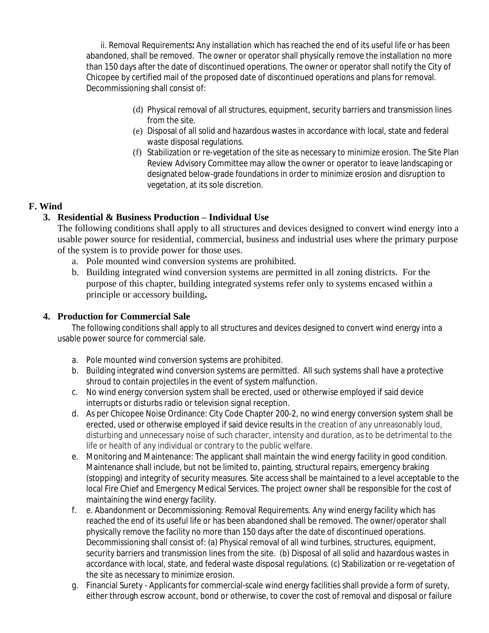ii. Removal Requirements**:** Any installation which has reached the end of its useful life or has been abandoned, shall be removed. The owner or operator shall physically remove the installation no more than 150 days after the date of discontinued operations. The owner or operator shall notify the City of Chicopee by certified mail of the proposed date of discontinued operations and plans for removal. Decommissioning shall consist of:

- (d) Physical removal of all structures, equipment, security barriers and transmission lines from the site.
- (e) Disposal of all solid and hazardous wastes in accordance with local, state and federal waste disposal regulations.
- (f) Stabilization or re-vegetation of the site as necessary to minimize erosion. The Site Plan Review Advisory Committee may allow the owner or operator to leave landscaping or designated below-grade foundations in order to minimize erosion and disruption to vegetation, at its sole discretion.

# **F. Wind**

# **3. Residential & Business Production – Individual Use**

The following conditions shall apply to all structures and devices designed to convert wind energy into a usable power source for residential, commercial, business and industrial uses where the primary purpose of the system is to provide power for those uses.

- a. Pole mounted wind conversion systems are prohibited.
- b. Building integrated wind conversion systems are permitted in all zoning districts. For the purpose of this chapter, building integrated systems refer only to systems encased within a principle or accessory building**.**

# **4. Production for Commercial Sale**

The following conditions shall apply to all structures and devices designed to convert wind energy into a usable power source for commercial sale.

- a. Pole mounted wind conversion systems are prohibited.
- b. Building integrated wind conversion systems are permitted. All such systems shall have a protective shroud to contain projectiles in the event of system malfunction.
- c. No wind energy conversion system shall be erected, used or otherwise employed if said device interrupts or disturbs radio or television signal reception.
- d. As per Chicopee Noise Ordinance: City Code Chapter 200-2, no wind energy conversion system shall be erected, used or otherwise employed if said device results in the creation of any unreasonably loud, disturbing and unnecessary noise of such character, intensity and duration, as to be detrimental to the life or health of any individual or contrary to the public welfare.
- e. Monitoring and Maintenance: The applicant shall maintain the wind energy facility in good condition. Maintenance shall include, but not be limited to, painting, structural repairs, emergency braking (stopping) and integrity of security measures. Site access shall be maintained to a level acceptable to the local Fire Chief and Emergency Medical Services. The project owner shall be responsible for the cost of maintaining the wind energy facility.
- f. e. Abandonment or Decommissioning: Removal Requirements. Any wind energy facility which has reached the end of its useful life or has been abandoned shall be removed. The owner/operator shall physically remove the facility no more than 150 days after the date of discontinued operations. Decommissioning shall consist of: (a) Physical removal of all wind turbines, structures, equipment, security barriers and transmission lines from the site. (b) Disposal of all solid and hazardous wastes in accordance with local, state, and federal waste disposal regulations. (c) Stabilization or re-vegetation of the site as necessary to minimize erosion.
- g. Financial Surety Applicants for commercial-scale wind energy facilities shall provide a form of surety, either through escrow account, bond or otherwise, to cover the cost of removal and disposal or failure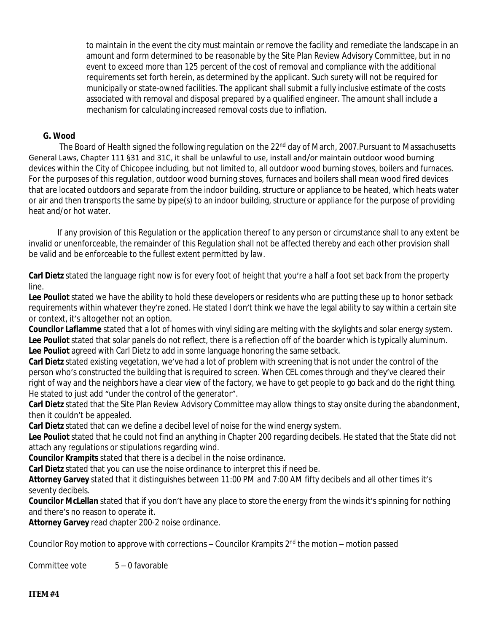to maintain in the event the city must maintain or remove the facility and remediate the landscape in an amount and form determined to be reasonable by the Site Plan Review Advisory Committee, but in no event to exceed more than 125 percent of the cost of removal and compliance with the additional requirements set forth herein, as determined by the applicant. Such surety will not be required for municipally or state-owned facilities. The applicant shall submit a fully inclusive estimate of the costs associated with removal and disposal prepared by a qualified engineer. The amount shall include a mechanism for calculating increased removal costs due to inflation.

# **G. Wood**

The Board of Health signed the following regulation on the 22<sup>nd</sup> day of March, 2007. Pursuant to Massachusetts General Laws, Chapter 111 §31 and 31C, it shall be unlawful to use, install and/or maintain outdoor wood burning devices within the City of Chicopee including, but not limited to, all outdoor wood burning stoves, boilers and furnaces. For the purposes of this regulation, outdoor wood burning stoves, furnaces and boilers shall mean wood fired devices that are located outdoors and separate from the indoor building, structure or appliance to be heated, which heats water or air and then transports the same by pipe(s) to an indoor building, structure or appliance for the purpose of providing heat and/or hot water.

If any provision of this Regulation or the application thereof to any person or circumstance shall to any extent be invalid or unenforceable, the remainder of this Regulation shall not be affected thereby and each other provision shall be valid and be enforceable to the fullest extent permitted by law.

**Carl Dietz** stated the language right now is for every foot of height that you're a half a foot set back from the property line.

**Lee Pouliot** stated we have the ability to hold these developers or residents who are putting these up to honor setback requirements within whatever they're zoned. He stated I don't think we have the legal ability to say within a certain site or context, it's altogether not an option.

**Councilor Laflamme** stated that a lot of homes with vinyl siding are melting with the skylights and solar energy system. **Lee Pouliot** stated that solar panels do not reflect, there is a reflection off of the boarder which is typically aluminum. **Lee Pouliot** agreed with Carl Dietz to add in some language honoring the same setback.

**Carl Dietz** stated existing vegetation, we've had a lot of problem with screening that is not under the control of the person who's constructed the building that is required to screen. When CEL comes through and they've cleared their right of way and the neighbors have a clear view of the factory, we have to get people to go back and do the right thing. He stated to just add "under the control of the generator".

**Carl Dietz** stated that the Site Plan Review Advisory Committee may allow things to stay onsite during the abandonment, then it couldn't be appealed.

**Carl Dietz** stated that can we define a decibel level of noise for the wind energy system.

Lee Pouliot stated that he could not find an anything in Chapter 200 regarding decibels. He stated that the State did not attach any regulations or stipulations regarding wind.

**Councilor Krampits** stated that there is a decibel in the noise ordinance.

**Carl Dietz** stated that you can use the noise ordinance to interpret this if need be.

**Attorney Garvey** stated that it distinguishes between 11:00 PM and 7:00 AM fifty decibels and all other times it's seventy decibels.

**Councilor McLellan** stated that if you don't have any place to store the energy from the winds it's spinning for nothing and there's no reason to operate it.

**Attorney Garvey** read chapter 200-2 noise ordinance.

Councilor Roy motion to approve with corrections – Councilor Krampits 2nd the motion – motion passed

Committee vote 5 – 0 favorable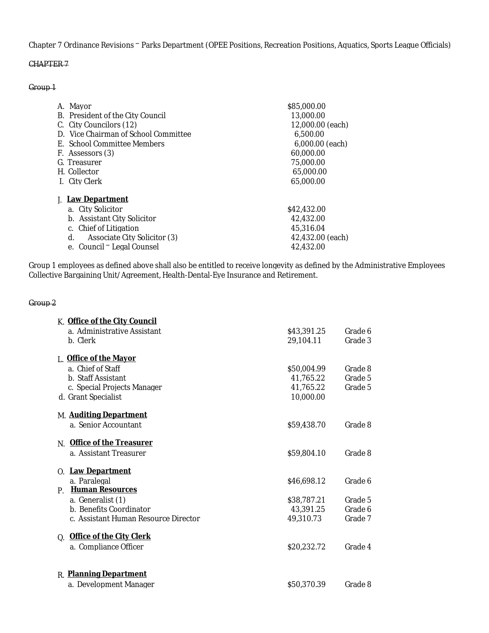Chapter 7 Ordinance Revisions – Parks Department (OPEE Positions, Recreation Positions, Aquatics, Sports League Officials)

## CHAPTER 7

#### Group 1

| Mayor<br>А.                          | \$85,000.00      |
|--------------------------------------|------------------|
| B. President of the City Council     | 13.000.00        |
| C. City Councilors (12)              | 12.000.00 (each) |
| D. Vice Chairman of School Committee | 6.500.00         |
| E. School Committee Members          | 6,000.00 (each)  |
| F. Assessors (3)                     | 60.000.00        |
| G. Treasurer                         | 75,000.00        |
| H. Collector                         | 65,000.00        |
| I. City Clerk                        | 65,000.00        |
| <b>Law Department</b><br>J.          |                  |
| a. City Solicitor                    | \$42,432,00      |
| b. Assistant City Solicitor          | 42.432.00        |
| Chief of Litigation<br>$\mathcal{C}$ | 45.316.04        |
| d.<br>Associate City Solicitor (3)   | 42.432.00 (each) |
| e. Council - Legal Counsel           | 42.432.00        |

Group 1 employees as defined above shall also be entitled to receive longevity as defined by the Administrative Employees Collective Bargaining Unit/Agreement, Health-Dental-Eye Insurance and Retirement.

#### Group 2

| K. Office of the City Council         |             |         |
|---------------------------------------|-------------|---------|
| a. Administrative Assistant           | \$43,391.25 | Grade 6 |
| b. Clerk                              | 29,104.11   | Grade 3 |
| L. Office of the Mayor                |             |         |
| a. Chief of Staff                     | \$50,004.99 | Grade 8 |
| b. Staff Assistant                    | 41,765.22   | Grade 5 |
| c. Special Projects Manager           | 41,765.22   | Grade 5 |
| d. Grant Specialist                   | 10,000.00   |         |
| M. <b>Auditing Department</b>         |             |         |
| a. Senior Accountant                  | \$59,438.70 | Grade 8 |
| <b>Office of the Treasurer</b><br>N.  |             |         |
| a. Assistant Treasurer                | \$59,804.10 | Grade 8 |
| O. Law Department                     |             |         |
| a. Paralegal                          | \$46,698.12 | Grade 6 |
| <b>Human Resources</b><br>$P_{\perp}$ |             |         |
| a. Generalist (1)                     | \$38,787.21 | Grade 5 |
| b. Benefits Coordinator               | 43,391.25   | Grade 6 |
| c. Assistant Human Resource Director  | 49,310.73   | Grade 7 |
| Q. Office of the City Clerk           |             |         |
| a. Compliance Officer                 | \$20,232.72 | Grade 4 |
|                                       |             |         |
| <b>R.</b> Planning Department         |             |         |
| a. Development Manager                | \$50,370.39 | Grade 8 |
|                                       |             |         |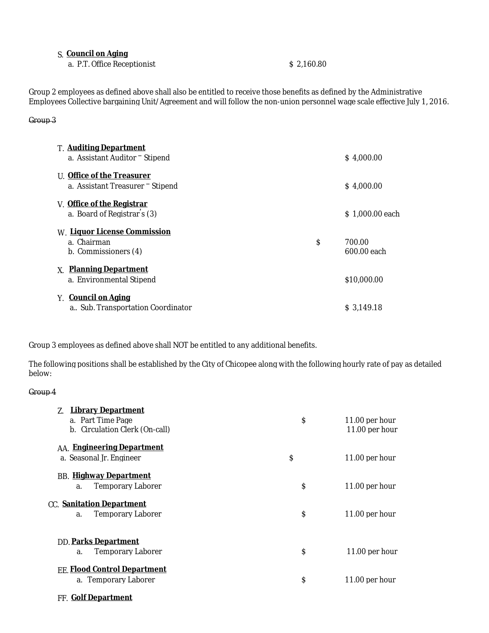### S. **Council on Aging**

a. P.T. Office Receptionist \$ 2,160.80

Group 2 employees as defined above shall also be entitled to receive those benefits as defined by the Administrative Employees Collective bargaining Unit/Agreement and will follow the non-union personnel wage scale effective July 1, 2016.

#### Group 3

| <b>T. Auditing Department</b><br>a. Assistant Auditor <sup>-</sup> Stipend | \$4,000.00                  |
|----------------------------------------------------------------------------|-----------------------------|
| U. Office of the Treasurer<br>a. Assistant Treasurer - Stipend             | \$4,000.00                  |
| V. Office of the Registrar<br>a. Board of Registrar's (3)                  | S 1.000.00 each             |
| W. Liquor License Commission<br>a. Chairman<br>b. Commissioners (4)        | \$<br>700.00<br>600.00 each |
| X. Planning Department<br>a. Environmental Stipend                         | \$10,000.00                 |
| Y. <b>Council on Aging</b><br>a., Sub. Transportation Coordinator          | S 3.149.18                  |

Group 3 employees as defined above shall NOT be entitled to any additional benefits.

The following positions shall be established by the City of Chicopee along with the following hourly rate of pay as detailed below:

### Group 4

| <u>Library Department</u><br>Z.<br>a. Part Time Page<br>b. Circulation Clerk (On-call) | \$<br>11.00 per hour<br>$11.00$ per hour |
|----------------------------------------------------------------------------------------|------------------------------------------|
| AA. Engineering Department<br>a. Seasonal Jr. Engineer                                 | \$<br>11.00 per hour                     |
| <b>BB.</b> Highway Department<br><b>Temporary Laborer</b><br>a.                        | \$<br>$11.00$ per hour                   |
| CC. Sanitation Department<br><b>Temporary Laborer</b><br>a.                            | \$<br>11.00 per hour                     |
| <b>DD. Parks Department</b><br><b>Temporary Laborer</b><br>a.                          | \$<br>$11.00$ per hour                   |
| <b>EE. Flood Control Department</b><br>a. Temporary Laborer                            | \$<br>$11.00$ per hour                   |

FF. **Golf Department**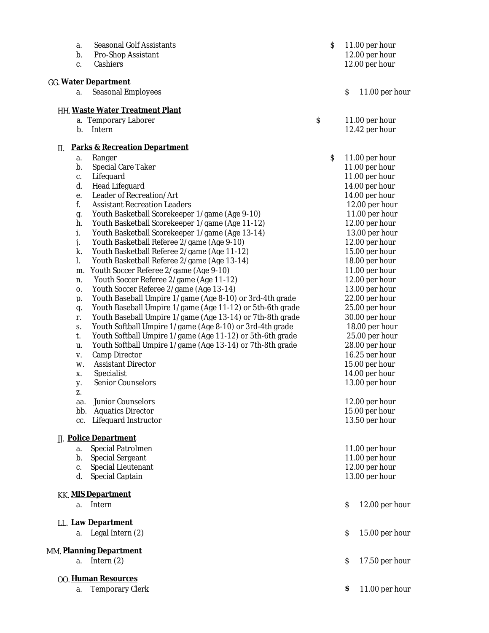| a.  | <b>Seasonal Golf Assistants</b>                           | $\mathsf S$ |                           | 11.00 per hour |
|-----|-----------------------------------------------------------|-------------|---------------------------|----------------|
| b.  | Pro-Shop Assistant                                        |             |                           | 12.00 per hour |
| c.  | Cashiers                                                  |             |                           | 12.00 per hour |
|     | GG. Water Department                                      |             |                           |                |
| a.  | <b>Seasonal Employees</b>                                 |             | $\boldsymbol{\mathsf{S}}$ | 11.00 per hour |
|     | HH. Waste Water Treatment Plant                           |             |                           |                |
|     | a. Temporary Laborer                                      | \$          |                           | 11.00 per hour |
| b.  | Intern                                                    |             |                           | 12.42 per hour |
| II. | <b>Parks &amp; Recreation Department</b>                  |             |                           |                |
| a.  | Ranger                                                    | \$          |                           | 11.00 per hour |
| b.  | <b>Special Care Taker</b>                                 |             |                           | 11.00 per hour |
| c.  | Lifeguard                                                 |             |                           | 11.00 per hour |
| d.  | Head Lifeguard                                            |             |                           | 14.00 per hour |
| e.  | Leader of Recreation/Art                                  |             |                           | 14.00 per hour |
| f.  | <b>Assistant Recreation Leaders</b>                       |             |                           | 12.00 per hour |
| g.  | Youth Basketball Scorekeeper 1/game (Age 9-10)            |             |                           | 11.00 per hour |
| h.  | Youth Basketball Scorekeeper 1/game (Age 11-12)           |             |                           | 12.00 per hour |
| i.  | Youth Basketball Scorekeeper 1/game (Age 13-14)           |             |                           | 13.00 per hour |
| j.  | Youth Basketball Referee 2/game (Age 9-10)                |             |                           | 12.00 per hour |
| k.  | Youth Basketball Referee 2/game (Age 11-12)               |             |                           | 15.00 per hour |
| l.  | Youth Basketball Referee 2/game (Age 13-14)               |             |                           | 18.00 per hour |
| m.  | Youth Soccer Referee 2/game (Age 9-10)                    |             |                           | 11.00 per hour |
| n.  | Youth Soccer Referee 2/game (Age 11-12)                   |             |                           | 12.00 per hour |
| 0.  | Youth Soccer Referee 2/game (Age 13-14)                   |             |                           | 13.00 per hour |
| p.  | Youth Baseball Umpire 1/game (Age 8-10) or 3rd-4th grade  |             |                           | 22.00 per hour |
| q.  | Youth Baseball Umpire 1/game (Age 11-12) or 5th-6th grade |             |                           | 25.00 per hour |
| r.  | Youth Baseball Umpire 1/game (Age 13-14) or 7th-8th grade |             |                           | 30.00 per hour |
| S.  | Youth Softball Umpire 1/game (Age 8-10) or 3rd-4th grade  |             |                           | 18.00 per hour |
| t.  | Youth Softball Umpire 1/game (Age 11-12) or 5th-6th grade |             |                           | 25.00 per hour |
| u.  | Youth Softball Umpire 1/game (Age 13-14) or 7th-8th grade |             |                           | 28.00 per hour |
| V.  | <b>Camp Director</b>                                      |             |                           | 16.25 per hour |
| W.  | <b>Assistant Director</b>                                 |             |                           | 15.00 per hour |
| X.  | Specialist                                                |             |                           | 14.00 per hour |
| y.  | <b>Senior Counselors</b>                                  |             |                           | 13.00 per hour |
| Z.  |                                                           |             |                           |                |
| aa. | Junior Counselors                                         |             |                           | 12.00 per hour |
| bb. | <b>Aquatics Director</b>                                  |             |                           | 15.00 per hour |
| cc. | Lifeguard Instructor                                      |             |                           | 13.50 per hour |
|     | <b>JJ.</b> Police Department                              |             |                           |                |
| a.  | <b>Special Patrolmen</b>                                  |             |                           | 11.00 per hour |
| b.  | <b>Special Sergeant</b>                                   |             |                           | 11.00 per hour |
| C.  | Special Lieutenant                                        |             |                           | 12.00 per hour |
| d.  | <b>Special Captain</b>                                    |             |                           | 13.00 per hour |
|     | <b>KK. MIS Department</b>                                 |             |                           |                |
|     | a. Intern                                                 |             | S                         | 12.00 per hour |
|     | LL. Law Department                                        |             |                           |                |
|     | a. Legal Intern (2)                                       |             | \$                        | 15.00 per hour |
|     | MM. Planning Department                                   |             |                           |                |
| a.  | Intern $(2)$                                              |             | \$                        | 17.50 per hour |
|     | 00. Human Resources                                       |             |                           |                |
| a.  | <b>Temporary Clerk</b>                                    |             | \$                        | 11.00 per hour |
|     |                                                           |             |                           |                |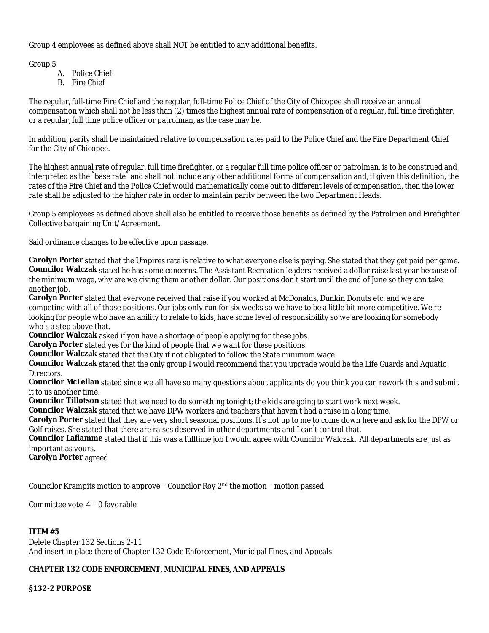Group 4 employees as defined above shall NOT be entitled to any additional benefits.

## Group 5

- A. Police Chief
- B. Fire Chief

The regular, full-time Fire Chief and the regular, full-time Police Chief of the City of Chicopee shall receive an annual compensation which shall not be less than (2) times the highest annual rate of compensation of a regular, full time firefighter, or a regular, full time police officer or patrolman, as the case may be.

In addition, parity shall be maintained relative to compensation rates paid to the Police Chief and the Fire Department Chief for the City of Chicopee.

The highest annual rate of regular, full time firefighter, or a regular full time police officer or patrolman, is to be construed and interpreted as the "base rate" and shall not include any other additional forms of compensation and, if given this definition, the rates of the Fire Chief and the Police Chief would mathematically come out to different levels of compensation, then the lower rate shall be adjusted to the higher rate in order to maintain parity between the two Department Heads.

Group 5 employees as defined above shall also be entitled to receive those benefits as defined by the Patrolmen and Firefighter Collective bargaining Unit/Agreement.

Said ordinance changes to be effective upon passage.

**Carolyn Porter** stated that the Umpires rate is relative to what everyone else is paying. She stated that they get paid per game. **Councilor Walczak** stated he has some concerns. The Assistant Recreation leaders received a dollar raise last year because of the minimum wage, why are we giving them another dollar. Our positions don' t start until the end of June so they can take another job.

**Carolyn Porter** stated that everyone received that raise if you worked at McDonalds, Dunkin Donuts etc. and we are competing with all of those positions. Our jobs only run for six weeks so we have to be a little bit more competitive. We're looking for people who have an ability to relate to kids, have some level of responsibility so we are looking for somebody who's a step above that.

**Councilor Walczak** asked if you have a shortage of people applying for these jobs.

**Carolyn Porter** stated yes for the kind of people that we want for these positions.

**Councilor Walczak** stated that the City if not obligated to follow the State minimum wage.

**Councilor Walczak** stated that the only group I would recommend that you upgrade would be the Life Guards and Aquatic Directors.

**Councilor McLellan** stated since we all have so many questions about applicants do you think you can rework this and submit it to us another time.

**Councilor Tillotson** stated that we need to do something tonight; the kids are going to start work next week.

**Councilor Walczak** stated that we have DPW workers and teachers that haven' t had a raise in a long time.

**Carolyn Porter** stated that they are very short seasonal positions. It's not up to me to come down here and ask for the DPW or Golf raises. She stated that there are raises deserved in other departments and I can' t control that.

**Councilor Laflamme** stated that if this was a fulltime job I would agree with Councilor Walczak. All departments are just as important as yours.

**Carolyn Porter** agreed

Councilor Krampits motion to approve  $\bar{c}$  Councilor Roy  $2<sup>nd</sup>$  the motion  $\bar{c}$  motion passed

Committee vote 4 – 0 favorable

## **ITEM #5**

Delete Chapter 132 Sections 2-11 And insert in place there of Chapter 132 Code Enforcement, Municipal Fines, and Appeals

## **CHAPTER 132 CODE ENFORCEMENT, MUNICIPAL FINES, AND APPEALS**

**§132-2 PURPOSE**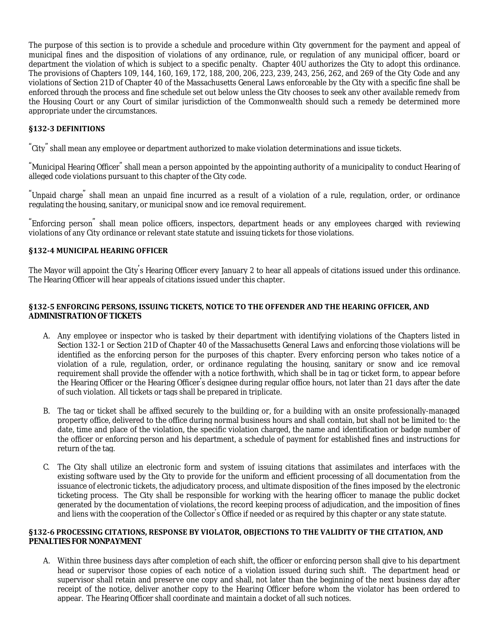The purpose of this section is to provide a schedule and procedure within City government for the payment and appeal of municipal fines and the disposition of violations of any ordinance, rule, or regulation of any municipal officer, board or department the violation of which is subject to a specific penalty. Chapter 40U authorizes the City to adopt this ordinance. The provisions of Chapters 109, 144, 160, 169, 172, 188, 200, 206, 223, 239, 243, 256, 262, and 269 of the City Code and any violations of Section 21D of Chapter 40 of the Massachusetts General Laws enforceable by the City with a specific fine shall be enforced through the process and fine schedule set out below unless the City chooses to seek any other available remedy from the Housing Court or any Court of similar jurisdiction of the Commonwealth should such a remedy be determined more appropriate under the circumstances.

### **§132-3 DEFINITIONS**

"City" shall mean any employee or department authorized to make violation determinations and issue tickets.

"Municipal Hearing Officer" shall mean a person appointed by the appointing authority of a municipality to conduct Hearing of alleged code violations pursuant to this chapter of the City code.

"Unpaid charge" shall mean an unpaid fine incurred as a result of a violation of a rule, regulation, order, or ordinance regulating the housing, sanitary, or municipal snow and ice removal requirement.

"Enforcing person" shall mean police officers, inspectors, department heads or any employees charged with reviewing violations of any City ordinance or relevant state statute and issuing tickets for those violations.

### **§132-4 MUNICIPAL HEARING OFFICER**

The Mayor will appoint the City's Hearing Officer every January 2 to hear all appeals of citations issued under this ordinance. The Hearing Officer will hear appeals of citations issued under this chapter.

### **§132-5 ENFORCING PERSONS, ISSUING TICKETS, NOTICE TO THE OFFENDER AND THE HEARING OFFICER, AND ADMINISTRATION OF TICKETS**

- A. Any employee or inspector who is tasked by their department with identifying violations of the Chapters listed in Section 132-1 or Section 21D of Chapter 40 of the Massachusetts General Laws and enforcing those violations will be identified as the enforcing person for the purposes of this chapter. Every enforcing person who takes notice of a violation of a rule, regulation, order, or ordinance regulating the housing, sanitary or snow and ice removal requirement shall provide the offender with a notice forthwith, which shall be in tag or ticket form, to appear before the Hearing Officer or the Hearing Officer's designee during regular office hours, not later than 21 days after the date of such violation. All tickets or tags shall be prepared in triplicate.
- B. The tag or ticket shall be affixed securely to the building or, for a building with an onsite professionally-managed property office, delivered to the office during normal business hours and shall contain, but shall not be limited to: the date, time and place of the violation, the specific violation charged, the name and identification or badge number of the officer or enforcing person and his department, a schedule of payment for established fines and instructions for return of the tag.
- C. The City shall utilize an electronic form and system of issuing citations that assimilates and interfaces with the existing software used by the City to provide for the uniform and efficient processing of all documentation from the issuance of electronic tickets, the adjudicatory process, and ultimate disposition of the fines imposed by the electronic ticketing process. The City shall be responsible for working with the hearing officer to manage the public docket generated by the documentation of violations, the record keeping process of adjudication, and the imposition of fines and liens with the cooperation of the Collector's Office if needed or as required by this chapter or any state statute.

#### **§132-6 PROCESSING CITATIONS, RESPONSE BY VIOLATOR, OBJECTIONS TO THE VALIDITY OF THE CITATION, AND PENALTIES FOR NONPAYMENT**

A. Within three business days after completion of each shift, the officer or enforcing person shall give to his department head or supervisor those copies of each notice of a violation issued during such shift. The department head or supervisor shall retain and preserve one copy and shall, not later than the beginning of the next business day after receipt of the notice, deliver another copy to the Hearing Officer before whom the violator has been ordered to appear. The Hearing Officer shall coordinate and maintain a docket of all such notices.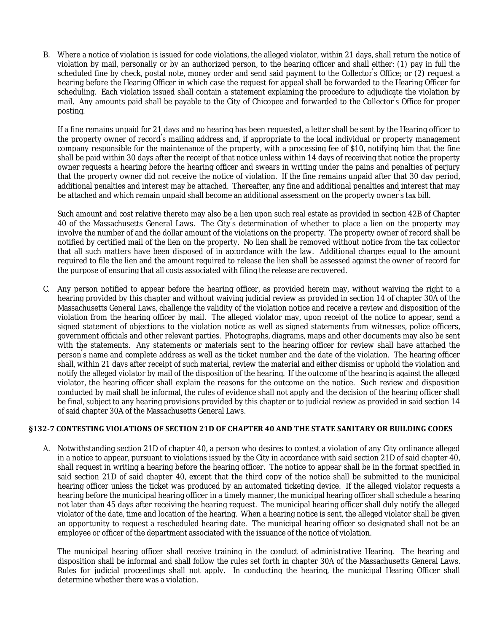B. Where a notice of violation is issued for code violations, the alleged violator, within 21 days, shall return the notice of violation by mail, personally or by an authorized person, to the hearing officer and shall either: (1) pay in full the scheduled fine by check, postal note, money order and send said payment to the Collector's Office; or (2) request a hearing before the Hearing Officer in which case the request for appeal shall be forwarded to the Hearing Officer for scheduling. Each violation issued shall contain a statement explaining the procedure to adjudicate the violation by mail. Any amounts paid shall be payable to the City of Chicopee and forwarded to the Collector's Office for proper posting.

If a fine remains unpaid for 21 days and no hearing has been requested, a letter shall be sent by the Hearing officer to the property owner of record's mailing address and, if appropriate to the local individual or property management company responsible for the maintenance of the property, with a processing fee of \$10, notifying him that the fine shall be paid within 30 days after the receipt of that notice unless within 14 days of receiving that notice the property owner requests a hearing before the hearing officer and swears in writing under the pains and penalties of perjury that the property owner did not receive the notice of violation. If the fine remains unpaid after that 30 day period, additional penalties and interest may be attached. Thereafter, any fine and additional penalties and interest that may be attached and which remain unpaid shall become an additional assessment on the property owner's tax bill.

Such amount and cost relative thereto may also be a lien upon such real estate as provided in section 42B of Chapter 40 of the Massachusetts General Laws. The City's determination of whether to place a lien on the property may involve the number of and the dollar amount of the violations on the property. The property owner of record shall be notified by certified mail of the lien on the property. No lien shall be removed without notice from the tax collector that all such matters have been disposed of in accordance with the law. Additional charges equal to the amount required to file the lien and the amount required to release the lien shall be assessed against the owner of record for the purpose of ensuring that all costs associated with filing the release are recovered.

C. Any person notified to appear before the hearing officer, as provided herein may, without waiving the right to a hearing provided by this chapter and without waiving judicial review as provided in section 14 of chapter 30A of the Massachusetts General Laws, challenge the validity of the violation notice and receive a review and disposition of the violation from the hearing officer by mail. The alleged violator may, upon receipt of the notice to appear, send a signed statement of objections to the violation notice as well as signed statements from witnesses, police officers, government officials and other relevant parties. Photographs, diagrams, maps and other documents may also be sent with the statements. Any statements or materials sent to the hearing officer for review shall have attached the person's name and complete address as well as the ticket number and the date of the violation. The hearing officer shall, within 21 days after receipt of such material, review the material and either dismiss or uphold the violation and notify the alleged violator by mail of the disposition of the hearing. If the outcome of the hearing is against the alleged violator, the hearing officer shall explain the reasons for the outcome on the notice. Such review and disposition conducted by mail shall be informal, the rules of evidence shall not apply and the decision of the hearing officer shall be final, subject to any hearing provisions provided by this chapter or to judicial review as provided in said section 14 of said chapter 30A of the Massachusetts General Laws.

#### **§132-7 CONTESTING VIOLATIONS OF SECTION 21D OF CHAPTER 40 AND THE STATE SANITARY OR BUILDING CODES**

A. Notwithstanding section 21D of chapter 40, a person who desires to contest a violation of any City ordinance alleged in a notice to appear, pursuant to violations issued by the City in accordance with said section 21D of said chapter 40, shall request in writing a hearing before the hearing officer. The notice to appear shall be in the format specified in said section 21D of said chapter 40, except that the third copy of the notice shall be submitted to the municipal hearing officer unless the ticket was produced by an automated ticketing device. If the alleged violator requests a hearing before the municipal hearing officer in a timely manner, the municipal hearing officer shall schedule a hearing not later than 45 days after receiving the hearing request. The municipal hearing officer shall duly notify the alleged violator of the date, time and location of the hearing. When a hearing notice is sent, the alleged violator shall be given an opportunity to request a rescheduled hearing date. The municipal hearing officer so designated shall not be an employee or officer of the department associated with the issuance of the notice of violation.

The municipal hearing officer shall receive training in the conduct of administrative Hearing. The hearing and disposition shall be informal and shall follow the rules set forth in chapter 30A of the Massachusetts General Laws. Rules for judicial proceedings shall not apply. In conducting the hearing, the municipal Hearing Officer shall determine whether there was a violation.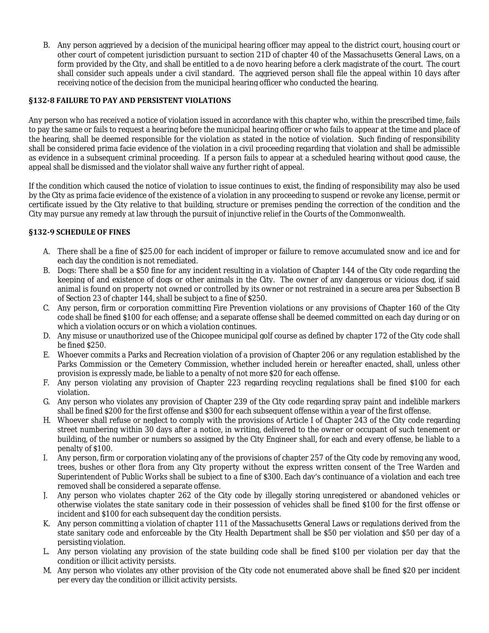B. Any person aggrieved by a decision of the municipal hearing officer may appeal to the district court, housing court or other court of competent jurisdiction pursuant to section 21D of chapter 40 of the Massachusetts General Laws, on a form provided by the City, and shall be entitled to a de novo hearing before a clerk magistrate of the court. The court shall consider such appeals under a civil standard. The aggrieved person shall file the appeal within 10 days after receiving notice of the decision from the municipal hearing officer who conducted the hearing.

### **§132-8 FAILURE TO PAY AND PERSISTENT VIOLATIONS**

Any person who has received a notice of violation issued in accordance with this chapter who, within the prescribed time, fails to pay the same or fails to request a hearing before the municipal hearing officer or who fails to appear at the time and place of the hearing, shall be deemed responsible for the violation as stated in the notice of violation. Such finding of responsibility shall be considered prima facie evidence of the violation in a civil proceeding regarding that violation and shall be admissible as evidence in a subsequent criminal proceeding. If a person fails to appear at a scheduled hearing without good cause, the appeal shall be dismissed and the violator shall waive any further right of appeal.

If the condition which caused the notice of violation to issue continues to exist, the finding of responsibility may also be used by the City as prima facie evidence of the existence of a violation in any proceeding to suspend or revoke any license, permit or certificate issued by the City relative to that building, structure or premises pending the correction of the condition and the City may pursue any remedy at law through the pursuit of injunctive relief in the Courts of the Commonwealth.

### **§132-9 SCHEDULE OF FINES**

- A. There shall be a fine of \$25.00 for each incident of improper or failure to remove accumulated snow and ice and for each day the condition is not remediated.
- B. Dogs: There shall be a \$50 fine for any incident resulting in a violation of Chapter 144 of the City code regarding the keeping of and existence of dogs or other animals in the City. The owner of any dangerous or vicious dog, if said animal is found on property not owned or controlled by its owner or not restrained in a secure area per Subsection B of Section 23 of chapter 144, shall be subject to a fine of \$250.
- C. Any person, firm or corporation committing Fire Prevention violations or any provisions of Chapter 160 of the City code shall be fined \$100 for each offense; and a separate offense shall be deemed committed on each day during or on which a violation occurs or on which a violation continues.
- D. Any misuse or unauthorized use of the Chicopee municipal golf course as defined by chapter 172 of the City code shall be fined \$250.
- E. Whoever commits a Parks and Recreation violation of a provision of Chapter 206 or any regulation established by the Parks Commission or the Cemetery Commission, whether included herein or hereafter enacted, shall, unless other provision is expressly made, be liable to a penalty of not more \$20 for each offense.
- F. Any person violating any provision of Chapter 223 regarding recycling regulations shall be fined \$100 for each violation.
- G. Any person who violates any provision of Chapter 239 of the City code regarding spray paint and indelible markers shall be fined \$200 for the first offense and \$300 for each subsequent offense within a year of the first offense.
- H. Whoever shall refuse or neglect to comply with the provisions of Article I of Chapter 243 of the City code regarding street numbering within 30 days after a notice, in writing, delivered to the owner or occupant of such tenement or building, of the number or numbers so assigned by the City Engineer shall, for each and every offense, be liable to a penalty of \$100.
- I. Any person, firm or corporation violating any of the provisions of chapter 257 of the City code by removing any wood, trees, bushes or other flora from any City property without the express written consent of the Tree Warden and Superintendent of Public Works shall be subject to a fine of \$300. Each day's continuance of a violation and each tree removed shall be considered a separate offense.
- J. Any person who violates chapter 262 of the City code by illegally storing unregistered or abandoned vehicles or otherwise violates the state sanitary code in their possession of vehicles shall be fined \$100 for the first offense or incident and \$100 for each subsequent day the condition persists.
- K. Any person committing a violation of chapter 111 of the Massachusetts General Laws or regulations derived from the state sanitary code and enforceable by the City Health Department shall be \$50 per violation and \$50 per day of a persisting violation.
- L. Any person violating any provision of the state building code shall be fined \$100 per violation per day that the condition or illicit activity persists.
- M. Any person who violates any other provision of the City code not enumerated above shall be fined \$20 per incident per every day the condition or illicit activity persists.